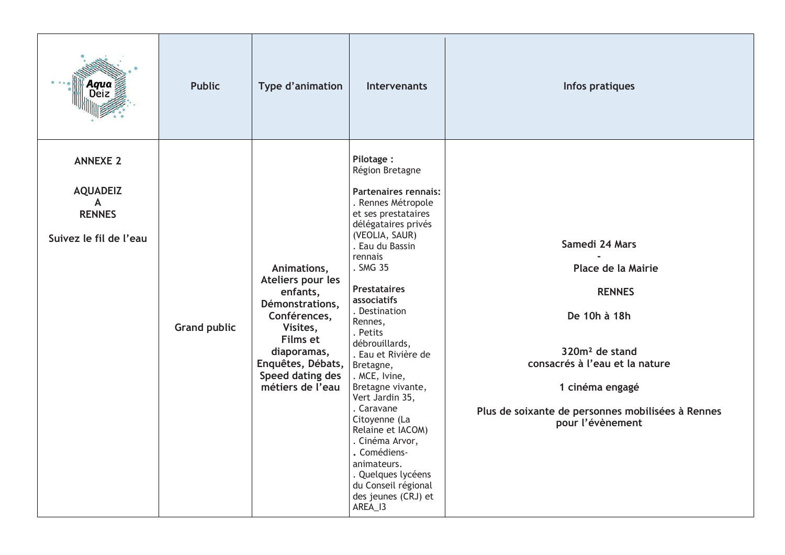|                                                                                               | <b>Public</b>       | Type d'animation                                                                                                                                                                    | <b>Intervenants</b>                                                                                                                                                                                                                                                                                                                                                                                                                                                                                                                                                    | Infos pratiques                                                                                                                                                                                                                   |
|-----------------------------------------------------------------------------------------------|---------------------|-------------------------------------------------------------------------------------------------------------------------------------------------------------------------------------|------------------------------------------------------------------------------------------------------------------------------------------------------------------------------------------------------------------------------------------------------------------------------------------------------------------------------------------------------------------------------------------------------------------------------------------------------------------------------------------------------------------------------------------------------------------------|-----------------------------------------------------------------------------------------------------------------------------------------------------------------------------------------------------------------------------------|
| <b>ANNEXE 2</b><br><b>AQUADEIZ</b><br>$\mathsf{A}$<br><b>RENNES</b><br>Suivez le fil de l'eau | <b>Grand public</b> | Animations,<br>Ateliers pour les<br>enfants,<br>Démonstrations,<br>Conférences,<br>Visites,<br>Films et<br>diaporamas,<br>Enquêtes, Débats,<br>Speed dating des<br>métiers de l'eau | Pilotage:<br>Région Bretagne<br>Partenaires rennais:<br>. Rennes Métropole<br>et ses prestataires<br>délégataires privés<br>(VEOLIA, SAUR)<br>. Eau du Bassin<br>rennais<br>. SMG 35<br><b>Prestataires</b><br>associatifs<br>. Destination<br>Rennes,<br>. Petits<br>débrouillards,<br>. Eau et Rivière de<br>Bretagne,<br>. MCE, Ivine,<br>Bretagne vivante,<br>Vert Jardin 35,<br>. Caravane<br>Citoyenne (La<br>Relaine et IACOM)<br>. Cinéma Arvor,<br>. Comédiens-<br>animateurs.<br>. Quelques lycéens<br>du Conseil régional<br>des jeunes (CRJ) et<br>AREA_I3 | Samedi 24 Mars<br>Place de la Mairie<br><b>RENNES</b><br>De 10h à 18h<br>320m <sup>2</sup> de stand<br>consacrés à l'eau et la nature<br>1 cinéma engagé<br>Plus de soixante de personnes mobilisées à Rennes<br>pour l'évènement |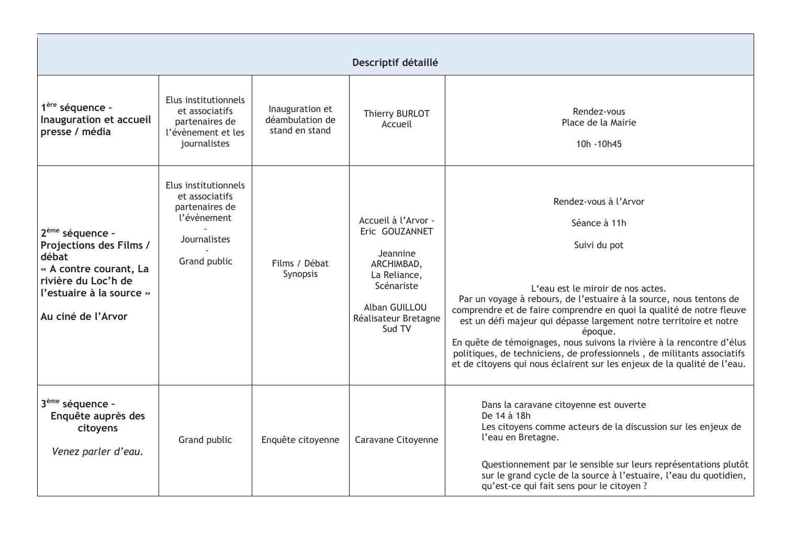|                                                                                                                                                                    |                                                                                                         |                                                      | Descriptif détaillé                                                                                                                              |                                                                                                                                                                                                                                                                                                                                                                                                                                                                                                                                                             |
|--------------------------------------------------------------------------------------------------------------------------------------------------------------------|---------------------------------------------------------------------------------------------------------|------------------------------------------------------|--------------------------------------------------------------------------------------------------------------------------------------------------|-------------------------------------------------------------------------------------------------------------------------------------------------------------------------------------------------------------------------------------------------------------------------------------------------------------------------------------------------------------------------------------------------------------------------------------------------------------------------------------------------------------------------------------------------------------|
| 1 <sup>ère</sup> séquence -<br>Inauguration et accueil<br>presse / média                                                                                           | Elus institutionnels<br>et associatifs<br>partenaires de<br>l'évènement et les<br>journalistes          | Inauguration et<br>déambulation de<br>stand en stand | Thierry BURLOT<br>Accueil                                                                                                                        | Rendez-vous<br>Place de la Mairie<br>10h - 10h45                                                                                                                                                                                                                                                                                                                                                                                                                                                                                                            |
| 2 <sup>ème</sup> séquence -<br>Projections des Films /<br>débat<br>« A contre courant, La<br>rivière du Loc'h de<br>l'estuaire à la source »<br>Au ciné de l'Arvor | Elus institutionnels<br>et associatifs<br>partenaires de<br>l'évènement<br>Journalistes<br>Grand public | Films / Débat<br>Synopsis                            | Accueil à l'Arvor -<br>Eric GOUZANNET<br>Jeannine<br>ARCHIMBAD,<br>La Reliance,<br>Scénariste<br>Alban GUILLOU<br>Réalisateur Bretagne<br>Sud TV | Rendez-vous à l'Arvor<br>Séance à 11h<br>Suivi du pot<br>L'eau est le miroir de nos actes.<br>Par un voyage à rebours, de l'estuaire à la source, nous tentons de<br>comprendre et de faire comprendre en quoi la qualité de notre fleuve<br>est un défi majeur qui dépasse largement notre territoire et notre<br>époque.<br>En quête de témoignages, nous suivons la rivière à la rencontre d'élus<br>politiques, de techniciens, de professionnels, de militants associatifs<br>et de citoyens qui nous éclairent sur les enjeux de la qualité de l'eau. |
| 3 <sup>ème</sup> séquence -<br>Enquête auprès des<br>citoyens<br>Venez parler d'eau.                                                                               | Grand public                                                                                            | Enquête citoyenne                                    | Caravane Citoyenne                                                                                                                               | Dans la caravane citoyenne est ouverte<br>De 14 à 18h<br>Les citoyens comme acteurs de la discussion sur les enjeux de<br>l'eau en Bretagne.<br>Questionnement par le sensible sur leurs représentations plutôt<br>sur le grand cycle de la source à l'estuaire, l'eau du quotidien,<br>qu'est-ce qui fait sens pour le citoyen ?                                                                                                                                                                                                                           |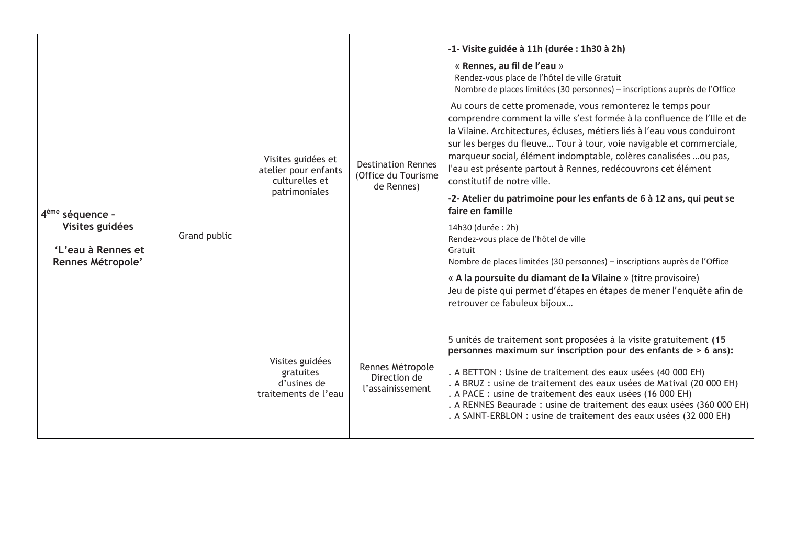| 4 <sup>ème</sup> séquence -<br>Visites guidées<br>'L'eau à Rennes et<br>Rennes Métropole' | Grand public | Visites guidées et<br>atelier pour enfants<br>culturelles et<br>patrimoniales | <b>Destination Rennes</b><br>(Office du Tourisme<br>de Rennes) | -1- Visite guidée à 11h (durée : 1h30 à 2h)<br>« Rennes, au fil de l'eau »<br>Rendez-vous place de l'hôtel de ville Gratuit<br>Nombre de places limitées (30 personnes) – inscriptions auprès de l'Office<br>Au cours de cette promenade, vous remonterez le temps pour<br>comprendre comment la ville s'est formée à la confluence de l'Ille et de<br>la Vilaine. Architectures, écluses, métiers liés à l'eau vous conduiront<br>sur les berges du fleuve Tour à tour, voie navigable et commerciale,<br>marqueur social, élément indomptable, colères canalisées  ou pas,<br>l'eau est présente partout à Rennes, redécouvrons cet élément<br>constitutif de notre ville.<br>-2- Atelier du patrimoine pour les enfants de 6 à 12 ans, qui peut se<br>faire en famille<br>14h30 (durée : 2h)<br>Rendez-vous place de l'hôtel de ville<br>Gratuit<br>Nombre de places limitées (30 personnes) – inscriptions auprès de l'Office<br>« A la poursuite du diamant de la Vilaine » (titre provisoire)<br>Jeu de piste qui permet d'étapes en étapes de mener l'enquête afin de<br>retrouver ce fabuleux bijoux |
|-------------------------------------------------------------------------------------------|--------------|-------------------------------------------------------------------------------|----------------------------------------------------------------|--------------------------------------------------------------------------------------------------------------------------------------------------------------------------------------------------------------------------------------------------------------------------------------------------------------------------------------------------------------------------------------------------------------------------------------------------------------------------------------------------------------------------------------------------------------------------------------------------------------------------------------------------------------------------------------------------------------------------------------------------------------------------------------------------------------------------------------------------------------------------------------------------------------------------------------------------------------------------------------------------------------------------------------------------------------------------------------------------------------|
|                                                                                           |              | Visites guidées<br>gratuites<br>d'usines de<br>traitements de l'eau           | Rennes Métropole<br>Direction de<br>l'assainissement           | 5 unités de traitement sont proposées à la visite gratuitement (15<br>personnes maximum sur inscription pour des enfants de > 6 ans):<br>. A BETTON : Usine de traitement des eaux usées (40 000 EH)<br>. A BRUZ : usine de traitement des eaux usées de Matival (20 000 EH)<br>. A PACE : usine de traitement des eaux usées (16 000 EH)<br>. A RENNES Beaurade : usine de traitement des eaux usées (360 000 EH)<br>. A SAINT-ERBLON : usine de traitement des eaux usées (32 000 EH)                                                                                                                                                                                                                                                                                                                                                                                                                                                                                                                                                                                                                      |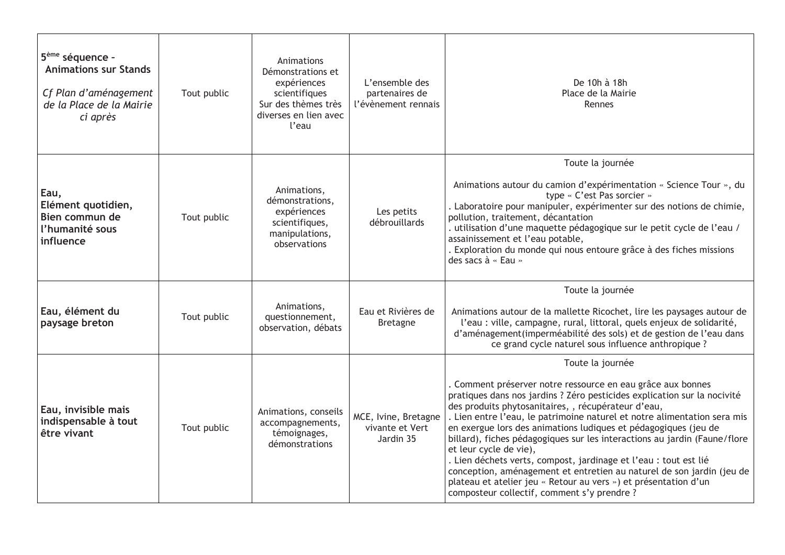| 5 <sup>ème</sup> séquence -<br><b>Animations sur Stands</b><br>Cf Plan d'aménagement<br>de la Place de la Mairie<br>ci après | Tout public | Animations<br>Démonstrations et<br>expériences<br>scientifiques<br>Sur des thèmes très<br>diverses en lien avec<br>l'eau | L'ensemble des<br>partenaires de<br>l'évènement rennais | De 10h à 18h<br>Place de la Mairie<br>Rennes                                                                                                                                                                                                                                                                                                                                                                                                                                                                                                                                                                                                                                                                                            |
|------------------------------------------------------------------------------------------------------------------------------|-------------|--------------------------------------------------------------------------------------------------------------------------|---------------------------------------------------------|-----------------------------------------------------------------------------------------------------------------------------------------------------------------------------------------------------------------------------------------------------------------------------------------------------------------------------------------------------------------------------------------------------------------------------------------------------------------------------------------------------------------------------------------------------------------------------------------------------------------------------------------------------------------------------------------------------------------------------------------|
| Eau,<br>Elément quotidien,<br>Bien commun de<br>l'humanité sous<br>influence                                                 | Tout public | Animations,<br>démonstrations,<br>expériences<br>scientifiques,<br>manipulations,<br>observations                        | Les petits<br>débrouillards                             | Toute la journée<br>Animations autour du camion d'expérimentation « Science Tour », du<br>type « C'est Pas sorcier »<br>. Laboratoire pour manipuler, expérimenter sur des notions de chimie,<br>pollution, traitement, décantation<br>. utilisation d'une maquette pédagogique sur le petit cycle de l'eau /<br>assainissement et l'eau potable,<br>Exploration du monde qui nous entoure grâce à des fiches missions<br>des sacs à « Eau »                                                                                                                                                                                                                                                                                            |
| Eau, élément du<br>paysage breton                                                                                            | Tout public | Animations,<br>questionnement,<br>observation, débats                                                                    | Eau et Rivières de<br><b>Bretagne</b>                   | Toute la journée<br>Animations autour de la mallette Ricochet, lire les paysages autour de<br>l'eau : ville, campagne, rural, littoral, quels enjeux de solidarité,<br>d'aménagement (imperméabilité des sols) et de gestion de l'eau dans<br>ce grand cycle naturel sous influence anthropique ?                                                                                                                                                                                                                                                                                                                                                                                                                                       |
| Eau, invisible mais<br>indispensable à tout<br>être vivant                                                                   | Tout public | Animations, conseils<br>accompagnements,<br>témoignages,<br>démonstrations                                               | MCE, Ivine, Bretagne<br>vivante et Vert<br>Jardin 35    | Toute la journée<br>. Comment préserver notre ressource en eau grâce aux bonnes<br>pratiques dans nos jardins ? Zéro pesticides explication sur la nocivité<br>des produits phytosanitaires, , récupérateur d'eau,<br>. Lien entre l'eau, le patrimoine naturel et notre alimentation sera mis<br>en exergue lors des animations ludiques et pédagogiques (jeu de<br>billard), fiches pédagogiques sur les interactions au jardin (Faune/flore<br>et leur cycle de vie),<br>. Lien déchets verts, compost, jardinage et l'eau : tout est lié<br>conception, aménagement et entretien au naturel de son jardin (jeu de<br>plateau et atelier jeu « Retour au vers ») et présentation d'un<br>composteur collectif, comment s'y prendre ? |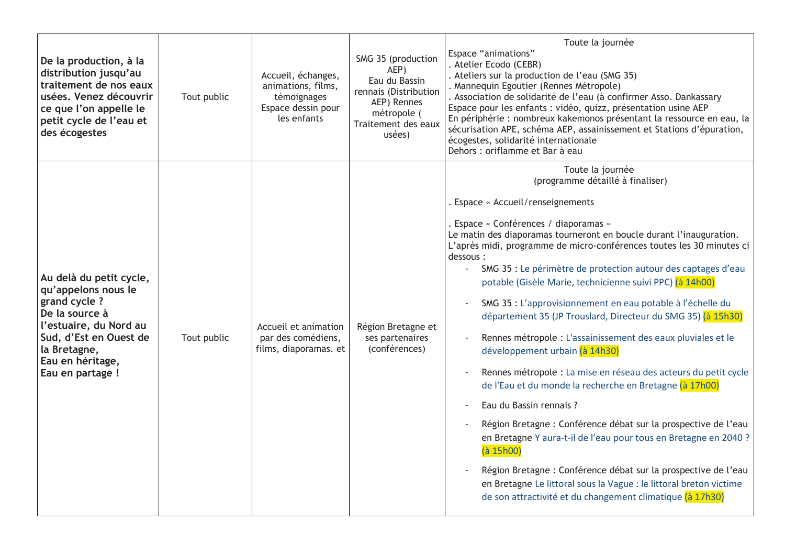| De la production, à la<br>distribution jusqu'au<br>traitement de nos eaux<br>usées. Venez découvrir<br>ce que l'on appelle le<br>petit cycle de l'eau et<br>des écogestes                     | Tout public | Accueil, échanges,<br>animations, films,<br>témoignages<br>Espace dessin pour<br>les enfants | SMG 35 (production<br>AEP)<br>Eau du Bassin<br>rennais (Distribution<br>AEP) Rennes<br>métropole (<br>Traitement des eaux<br>usées) | Toute la journée<br>Espace "animations"<br>. Atelier Ecodo (CEBR)<br>. Ateliers sur la production de l'eau (SMG 35)<br>. Mannequin Egoutier (Rennes Métropole)<br>. Association de solidarité de l'eau (à confirmer Asso. Dankassary<br>Espace pour les enfants : vidéo, quizz, présentation usine AEP<br>En périphérie : nombreux kakemonos présentant la ressource en eau, la<br>sécurisation APE, schéma AEP, assainissement et Stations d'épuration,<br>écogestes, solidarité internationale<br>Dehors : oriflamme et Bar à eau                                                                                                                                                                                                                                                                                                                                                                                                                                                                                                                                                                                                                                      |
|-----------------------------------------------------------------------------------------------------------------------------------------------------------------------------------------------|-------------|----------------------------------------------------------------------------------------------|-------------------------------------------------------------------------------------------------------------------------------------|--------------------------------------------------------------------------------------------------------------------------------------------------------------------------------------------------------------------------------------------------------------------------------------------------------------------------------------------------------------------------------------------------------------------------------------------------------------------------------------------------------------------------------------------------------------------------------------------------------------------------------------------------------------------------------------------------------------------------------------------------------------------------------------------------------------------------------------------------------------------------------------------------------------------------------------------------------------------------------------------------------------------------------------------------------------------------------------------------------------------------------------------------------------------------|
| Au delà du petit cycle,<br>qu'appelons nous le<br>grand cycle ?<br>De la source à<br>l'estuaire, du Nord au<br>Sud, d'Est en Ouest de<br>la Bretagne,<br>Eau en héritage,<br>Eau en partage ! | Tout public | Accueil et animation<br>par des comédiens,<br>films, diaporamas. et                          | Région Bretagne et<br>ses partenaires<br>(conférences)                                                                              | Toute la journée<br>(programme détaillé à finaliser)<br>Espace « Accueil/renseignements<br>Espace « Conférences / diaporamas »<br>Le matin des diaporamas tourneront en boucle durant l'inauguration.<br>L'après midi, programme de micro-conférences toutes les 30 minutes ci<br>dessous:<br>SMG 35 : Le périmètre de protection autour des captages d'eau<br>potable (Gisèle Marie, technicienne suivi PPC) (à 14h00)<br>SMG 35 : L'approvisionnement en eau potable à l'échelle du<br>département 35 (JP Trouslard, Directeur du SMG 35) (à 15h30)<br>Rennes métropole : L'assainissement des eaux pluviales et le<br>développement urbain (à 14h30)<br>Rennes métropole : La mise en réseau des acteurs du petit cycle<br>de l'Eau et du monde la recherche en Bretagne (à 17h00)<br>Eau du Bassin rennais ?<br>Région Bretagne : Conférence débat sur la prospective de l'eau<br>en Bretagne Y aura-t-il de l'eau pour tous en Bretagne en 2040 ?<br>(à 15h00)<br>Région Bretagne : Conférence débat sur la prospective de l'eau<br>en Bretagne Le littoral sous la Vague : le littoral breton victime<br>de son attractivité et du changement climatique (à 17h30) |